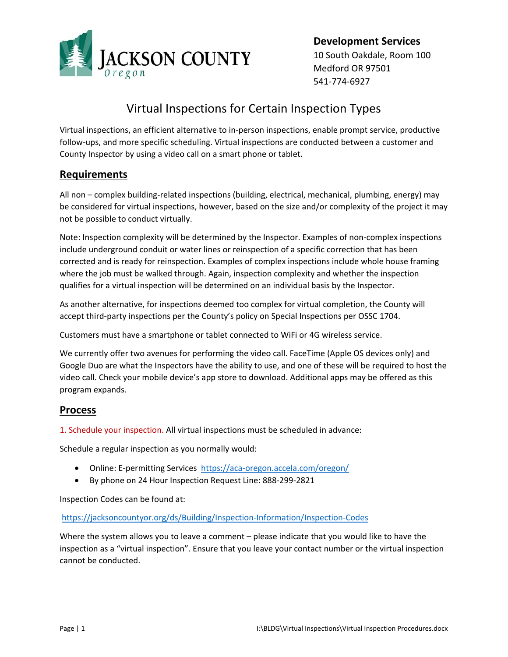

**Development Services**  10 South Oakdale, Room 100 Medford OR 97501 541‐774‐6927

# Virtual Inspections for Certain Inspection Types

Virtual inspections, an efficient alternative to in‐person inspections, enable prompt service, productive follow‐ups, and more specific scheduling. Virtual inspections are conducted between a customer and County Inspector by using a video call on a smart phone or tablet.

## **Requirements**

All non – complex building‐related inspections (building, electrical, mechanical, plumbing, energy) may be considered for virtual inspections, however, based on the size and/or complexity of the project it may not be possible to conduct virtually.

Note: Inspection complexity will be determined by the Inspector. Examples of non‐complex inspections include underground conduit or water lines or reinspection of a specific correction that has been corrected and is ready for reinspection. Examples of complex inspections include whole house framing where the job must be walked through. Again, inspection complexity and whether the inspection qualifies for a virtual inspection will be determined on an individual basis by the Inspector.

As another alternative, for inspections deemed too complex for virtual completion, the County will accept third-party inspections per the County's policy on Special Inspections per OSSC 1704.

Customers must have a smartphone or tablet connected to WiFi or 4G wireless service.

We currently offer two avenues for performing the video call. FaceTime (Apple OS devices only) and Google Duo are what the Inspectors have the ability to use, and one of these will be required to host the video call. Check your mobile device's app store to download. Additional apps may be offered as this program expands.

## **Process**

1. Schedule your inspection. All virtual inspections must be scheduled in advance:

Schedule a regular inspection as you normally would:

- Online: E-permitting Services https://aca-oregon.accela.com/oregon/
- By phone on 24 Hour Inspection Request Line: 888‐299‐2821

Inspection Codes can be found at:

https://jacksoncountyor.org/ds/Building/Inspection‐Information/Inspection‐Codes

Where the system allows you to leave a comment – please indicate that you would like to have the inspection as a "virtual inspection". Ensure that you leave your contact number or the virtual inspection cannot be conducted.